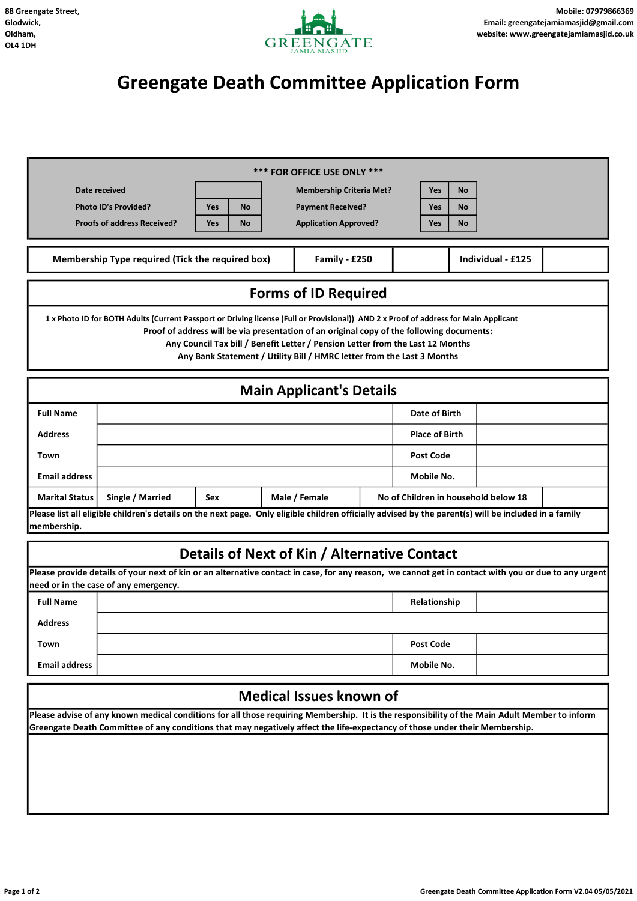

## Greengate Death Committee Application Form

| *** FOR OFFICE USE ONLY ***                                                                                                                                                                                                                                                                                                                                                                   |                                                                                                                                                                                               |                                              |  |                              |                                      |                  |                  |    |  |  |
|-----------------------------------------------------------------------------------------------------------------------------------------------------------------------------------------------------------------------------------------------------------------------------------------------------------------------------------------------------------------------------------------------|-----------------------------------------------------------------------------------------------------------------------------------------------------------------------------------------------|----------------------------------------------|--|------------------------------|--------------------------------------|------------------|------------------|----|--|--|
| Date received                                                                                                                                                                                                                                                                                                                                                                                 | <b>Membership Criteria Met?</b>                                                                                                                                                               |                                              |  |                              |                                      | Yes              | <b>No</b>        |    |  |  |
| <b>Photo ID's Provided?</b>                                                                                                                                                                                                                                                                                                                                                                   |                                                                                                                                                                                               | <b>Yes</b><br><b>No</b>                      |  | <b>Payment Received?</b>     |                                      |                  | Yes              | Νo |  |  |
| <b>Proofs of address Received?</b><br><b>Yes</b><br><b>No</b>                                                                                                                                                                                                                                                                                                                                 |                                                                                                                                                                                               |                                              |  | <b>Application Approved?</b> |                                      |                  | <b>Yes</b>       | No |  |  |
| Membership Type required (Tick the required box)<br>Family - £250<br>Individual - £125                                                                                                                                                                                                                                                                                                        |                                                                                                                                                                                               |                                              |  |                              |                                      |                  |                  |    |  |  |
| <b>Forms of ID Required</b>                                                                                                                                                                                                                                                                                                                                                                   |                                                                                                                                                                                               |                                              |  |                              |                                      |                  |                  |    |  |  |
| 1 x Photo ID for BOTH Adults (Current Passport or Driving license (Full or Provisional)) AND 2 x Proof of address for Main Applicant<br>Proof of address will be via presentation of an original copy of the following documents:<br>Any Council Tax bill / Benefit Letter / Pension Letter from the Last 12 Months<br>Any Bank Statement / Utility Bill / HMRC letter from the Last 3 Months |                                                                                                                                                                                               |                                              |  |                              |                                      |                  |                  |    |  |  |
| <b>Main Applicant's Details</b>                                                                                                                                                                                                                                                                                                                                                               |                                                                                                                                                                                               |                                              |  |                              |                                      |                  |                  |    |  |  |
| <b>Full Name</b>                                                                                                                                                                                                                                                                                                                                                                              |                                                                                                                                                                                               |                                              |  | Date of Birth                |                                      |                  |                  |    |  |  |
| <b>Address</b>                                                                                                                                                                                                                                                                                                                                                                                |                                                                                                                                                                                               |                                              |  | <b>Place of Birth</b>        |                                      |                  |                  |    |  |  |
| Town                                                                                                                                                                                                                                                                                                                                                                                          |                                                                                                                                                                                               |                                              |  |                              |                                      | <b>Post Code</b> |                  |    |  |  |
| <b>Email address</b>                                                                                                                                                                                                                                                                                                                                                                          |                                                                                                                                                                                               |                                              |  |                              |                                      |                  | Mobile No.       |    |  |  |
| <b>Marital Status</b>                                                                                                                                                                                                                                                                                                                                                                         | Single / Married<br>Male / Female<br>Sex                                                                                                                                                      |                                              |  |                              | No of Children in household below 18 |                  |                  |    |  |  |
| membership.                                                                                                                                                                                                                                                                                                                                                                                   | Please list all eligible children's details on the next page. Only eligible children officially advised by the parent(s) will be included in a family                                         |                                              |  |                              |                                      |                  |                  |    |  |  |
|                                                                                                                                                                                                                                                                                                                                                                                               |                                                                                                                                                                                               |                                              |  |                              |                                      |                  |                  |    |  |  |
|                                                                                                                                                                                                                                                                                                                                                                                               |                                                                                                                                                                                               | Details of Next of Kin / Alternative Contact |  |                              |                                      |                  |                  |    |  |  |
|                                                                                                                                                                                                                                                                                                                                                                                               | Please provide details of your next of kin or an alternative contact in case, for any reason, we cannot get in contact with you or due to any urgent<br>need or in the case of any emergency. |                                              |  |                              |                                      |                  |                  |    |  |  |
| <b>Full Name</b>                                                                                                                                                                                                                                                                                                                                                                              |                                                                                                                                                                                               |                                              |  |                              |                                      |                  | Relationship     |    |  |  |
| <b>Address</b>                                                                                                                                                                                                                                                                                                                                                                                |                                                                                                                                                                                               |                                              |  |                              |                                      |                  |                  |    |  |  |
| Town                                                                                                                                                                                                                                                                                                                                                                                          |                                                                                                                                                                                               |                                              |  |                              |                                      |                  | <b>Post Code</b> |    |  |  |
| <b>Email address</b>                                                                                                                                                                                                                                                                                                                                                                          |                                                                                                                                                                                               |                                              |  |                              |                                      |                  | Mobile No.       |    |  |  |
| <b>Medical Issues known of</b>                                                                                                                                                                                                                                                                                                                                                                |                                                                                                                                                                                               |                                              |  |                              |                                      |                  |                  |    |  |  |
| Please advise of any known medical conditions for all those requiring Membership. It is the responsibility of the Main Adult Member to inform<br>Greengate Death Committee of any conditions that may negatively affect the life-expectancy of those under their Membership.                                                                                                                  |                                                                                                                                                                                               |                                              |  |                              |                                      |                  |                  |    |  |  |
|                                                                                                                                                                                                                                                                                                                                                                                               |                                                                                                                                                                                               |                                              |  |                              |                                      |                  |                  |    |  |  |